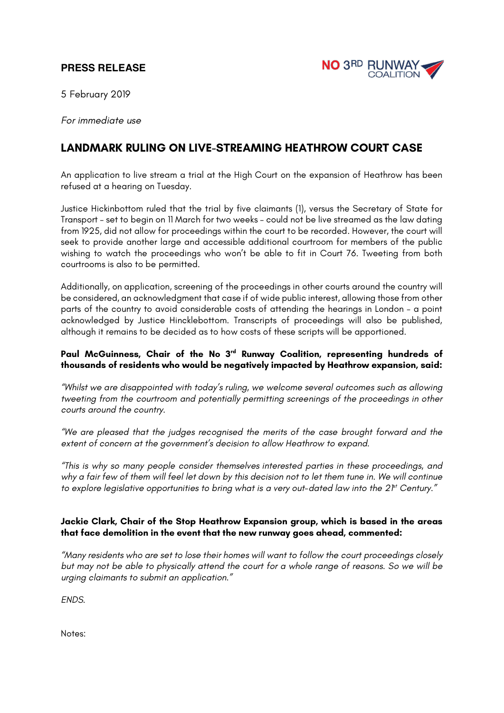## **PRESS RELEASE**



5 February 2019

*For immediate use*

## **LANDMARK RULING ON LIVE-STREAMING HEATHROW COURT CASE**

An application to live stream a trial at the High Court on the expansion of Heathrow has been refused at a hearing on Tuesday.

Justice Hickinbottom ruled that the trial by five claimants (1), versus the Secretary of State for Transport – set to begin on 11 March for two weeks – could not be live streamed as the law dating from 1925, did not allow for proceedings within the court to be recorded. However, the court will seek to provide another large and accessible additional courtroom for members of the public wishing to watch the proceedings who won't be able to fit in Court 76. Tweeting from both courtrooms is also to be permitted.

Additionally, on application, screening of the proceedings in other courts around the country will be considered, an acknowledgment that case if of wide public interest, allowing those from other parts of the country to avoid considerable costs of attending the hearings in London – a point acknowledged by Justice Hincklebottom. Transcripts of proceedings will also be published, although it remains to be decided as to how costs of these scripts will be apportioned.

## **Paul McGuinness, Chair of the No 3rd Runway Coalition, representing hundreds of thousands of residents who would be negatively impacted by Heathrow expansion, said:**

*"Whilst we are disappointed with today's ruling, we welcome several outcomes such as allowing tweeting from the courtroom and potentially permitting screenings of the proceedings in other courts around the country.*

*"We are pleased that the judges recognised the merits of the case brought forward and the extent of concern at the government's decision to allow Heathrow to expand.*

*"This is why so many people consider themselves interested parties in these proceedings, and why a fair few of them will feel let down by this decision not to let them tune in. We will continue to explore legislative opportunities to bring what is a very out-dated law into the 2<sup>pt</sup> Century."* 

## **Jackie Clark, Chair of the Stop Heathrow Expansion group, which is based in the areas that face demolition in the event that the new runway goes ahead, commented:**

*"Many residents who are set to lose their homes will want to follow the court proceedings closely but may not be able to physically attend the court for a whole range of reasons. So we will be urging claimants to submit an application."*

*ENDS.*

Notes: